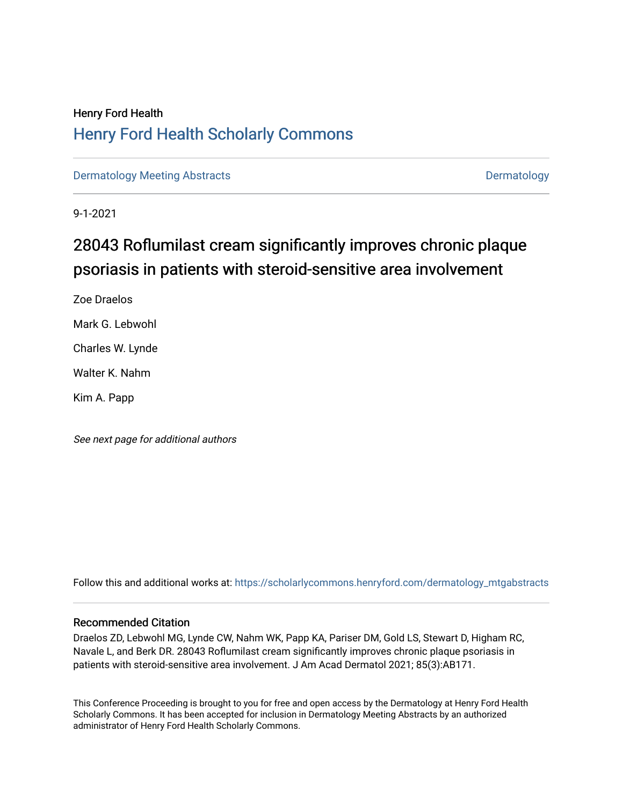## Henry Ford Health [Henry Ford Health Scholarly Commons](https://scholarlycommons.henryford.com/)

[Dermatology Meeting Abstracts](https://scholarlycommons.henryford.com/dermatology_mtgabstracts) and the control of the [Dermatology](https://scholarlycommons.henryford.com/dermatology) Dermatology

9-1-2021

# 28043 Roflumilast cream significantly improves chronic plaque psoriasis in patients with steroid-sensitive area involvement

Zoe Draelos Mark G. Lebwohl Charles W. Lynde Walter K. Nahm Kim A. Papp

See next page for additional authors

Follow this and additional works at: [https://scholarlycommons.henryford.com/dermatology\\_mtgabstracts](https://scholarlycommons.henryford.com/dermatology_mtgabstracts?utm_source=scholarlycommons.henryford.com%2Fdermatology_mtgabstracts%2F163&utm_medium=PDF&utm_campaign=PDFCoverPages) 

### Recommended Citation

Draelos ZD, Lebwohl MG, Lynde CW, Nahm WK, Papp KA, Pariser DM, Gold LS, Stewart D, Higham RC, Navale L, and Berk DR. 28043 Roflumilast cream significantly improves chronic plaque psoriasis in patients with steroid-sensitive area involvement. J Am Acad Dermatol 2021; 85(3):AB171.

This Conference Proceeding is brought to you for free and open access by the Dermatology at Henry Ford Health Scholarly Commons. It has been accepted for inclusion in Dermatology Meeting Abstracts by an authorized administrator of Henry Ford Health Scholarly Commons.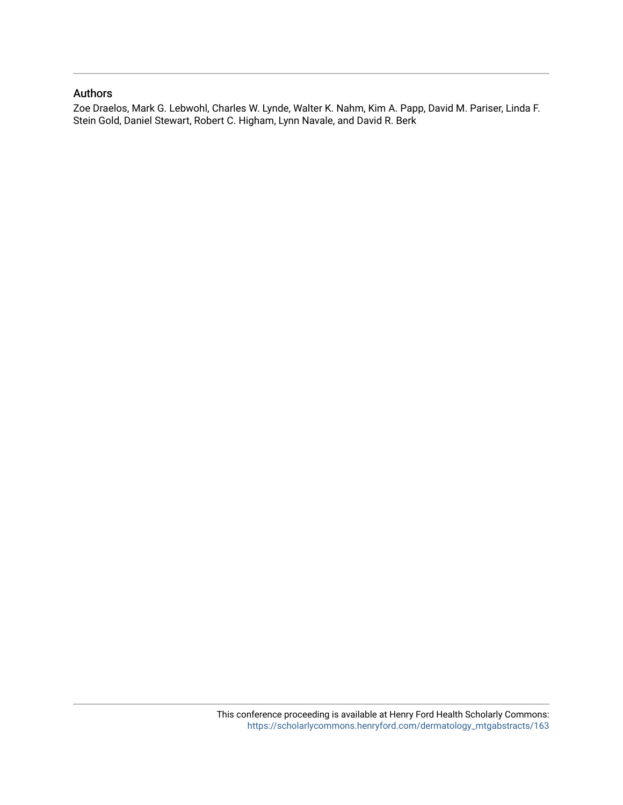## Authors

Zoe Draelos, Mark G. Lebwohl, Charles W. Lynde, Walter K. Nahm, Kim A. Papp, David M. Pariser, Linda F. Stein Gold, Daniel Stewart, Robert C. Higham, Lynn Navale, and David R. Berk